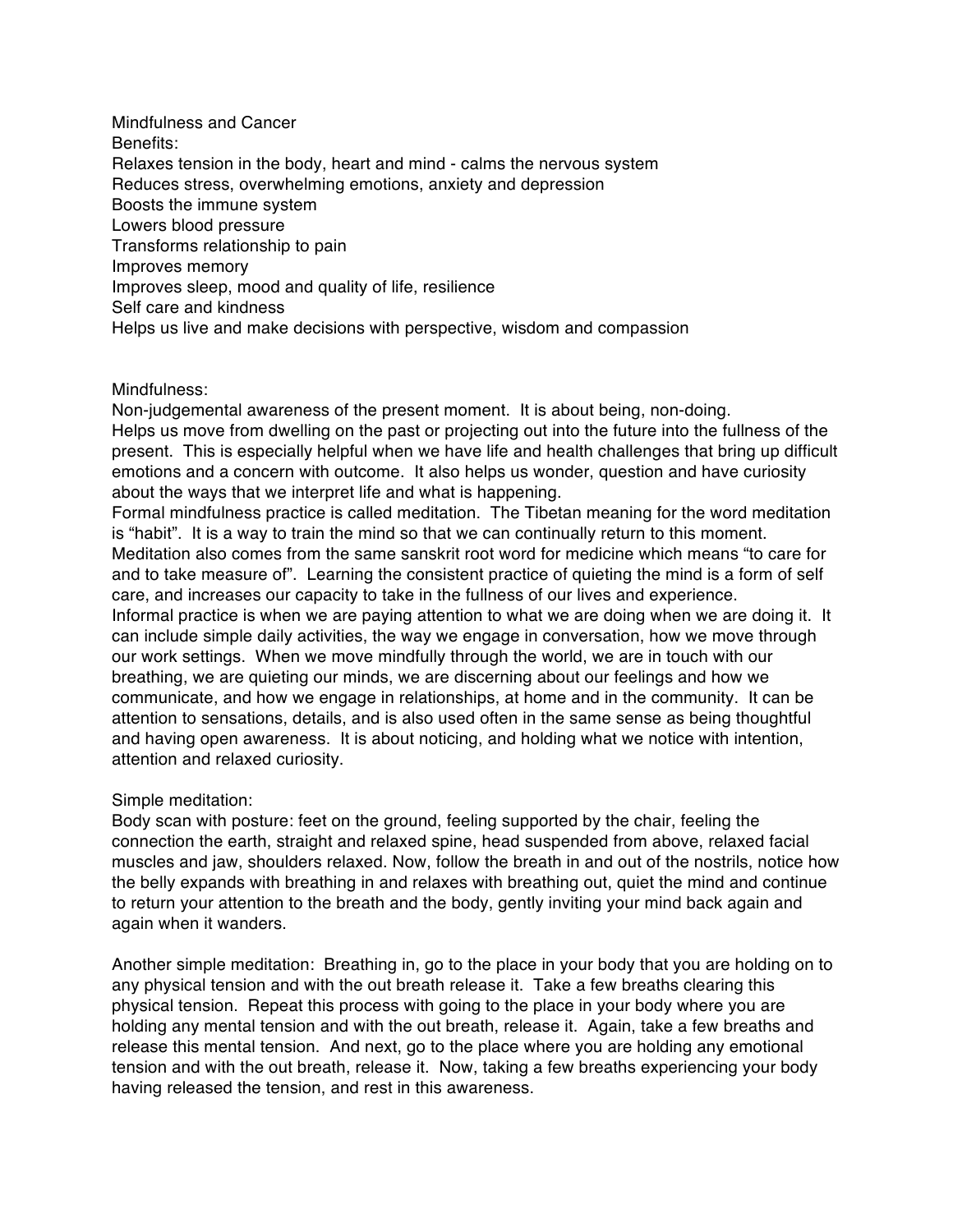Mindfulness and Cancer Benefits: Relaxes tension in the body, heart and mind - calms the nervous system Reduces stress, overwhelming emotions, anxiety and depression Boosts the immune system Lowers blood pressure Transforms relationship to pain Improves memory Improves sleep, mood and quality of life, resilience Self care and kindness Helps us live and make decisions with perspective, wisdom and compassion

## Mindfulness:

Non-judgemental awareness of the present moment. It is about being, non-doing. Helps us move from dwelling on the past or projecting out into the future into the fullness of the present. This is especially helpful when we have life and health challenges that bring up difficult emotions and a concern with outcome. It also helps us wonder, question and have curiosity about the ways that we interpret life and what is happening.

Formal mindfulness practice is called meditation. The Tibetan meaning for the word meditation is "habit". It is a way to train the mind so that we can continually return to this moment. Meditation also comes from the same sanskrit root word for medicine which means "to care for and to take measure of". Learning the consistent practice of quieting the mind is a form of self care, and increases our capacity to take in the fullness of our lives and experience. Informal practice is when we are paying attention to what we are doing when we are doing it. It can include simple daily activities, the way we engage in conversation, how we move through our work settings. When we move mindfully through the world, we are in touch with our breathing, we are quieting our minds, we are discerning about our feelings and how we communicate, and how we engage in relationships, at home and in the community. It can be attention to sensations, details, and is also used often in the same sense as being thoughtful and having open awareness. It is about noticing, and holding what we notice with intention, attention and relaxed curiosity.

## Simple meditation:

Body scan with posture: feet on the ground, feeling supported by the chair, feeling the connection the earth, straight and relaxed spine, head suspended from above, relaxed facial muscles and jaw, shoulders relaxed. Now, follow the breath in and out of the nostrils, notice how the belly expands with breathing in and relaxes with breathing out, quiet the mind and continue to return your attention to the breath and the body, gently inviting your mind back again and again when it wanders.

Another simple meditation: Breathing in, go to the place in your body that you are holding on to any physical tension and with the out breath release it. Take a few breaths clearing this physical tension. Repeat this process with going to the place in your body where you are holding any mental tension and with the out breath, release it. Again, take a few breaths and release this mental tension. And next, go to the place where you are holding any emotional tension and with the out breath, release it. Now, taking a few breaths experiencing your body having released the tension, and rest in this awareness.